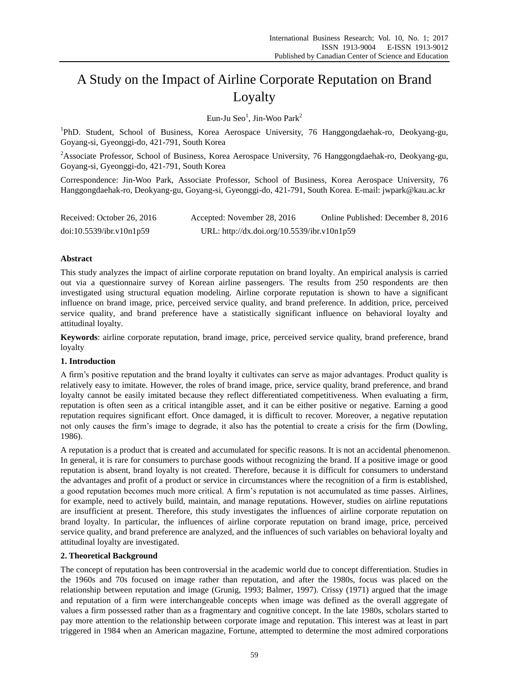# A Study on the Impact of Airline Corporate Reputation on Brand Loyalty

Eun-Ju Seo<sup>1</sup>, Jin-Woo Park<sup>2</sup>

<sup>1</sup>PhD. Student, School of Business, Korea Aerospace University, 76 Hanggongdaehak-ro, Deokyang-gu, Goyang-si, Gyeonggi-do, 421-791, South Korea

<sup>2</sup>Associate Professor, School of Business, Korea Aerospace University, 76 Hanggongdaehak-ro, Deokyang-gu, Goyang-si, Gyeonggi-do, 421-791, South Korea

Correspondence: Jin-Woo Park, Associate Professor, School of Business, Korea Aerospace University, 76 Hanggongdaehak-ro, Deokyang-gu, Goyang-si, Gyeonggi-do, 421-791, South Korea. E-mail: jwpark@kau.ac.kr

| Received: October 26, 2016 | Accepted: November 28, 2016                 | Online Published: December 8, 2016 |
|----------------------------|---------------------------------------------|------------------------------------|
| doi:10.5539/ibr.v10n1p59   | URL: http://dx.doi.org/10.5539/ibr.v10n1p59 |                                    |

## **Abstract**

This study analyzes the impact of airline corporate reputation on brand loyalty. An empirical analysis is carried out via a questionnaire survey of Korean airline passengers. The results from 250 respondents are then investigated using structural equation modeling. Airline corporate reputation is shown to have a significant influence on brand image, price, perceived service quality, and brand preference. In addition, price, perceived service quality, and brand preference have a statistically significant influence on behavioral loyalty and attitudinal loyalty.

**Keywords**: airline corporate reputation, brand image, price, perceived service quality, brand preference, brand loyalty

## **1. Introduction**

A firm's positive reputation and the brand loyalty it cultivates can serve as major advantages. Product quality is relatively easy to imitate. However, the roles of brand image, price, service quality, brand preference, and brand loyalty cannot be easily imitated because they reflect differentiated competitiveness. When evaluating a firm, reputation is often seen as a critical intangible asset, and it can be either positive or negative. Earning a good reputation requires significant effort. Once damaged, it is difficult to recover. Moreover, a negative reputation not only causes the firm's image to degrade, it also has the potential to create a crisis for the firm (Dowling, 1986).

A reputation is a product that is created and accumulated for specific reasons. It is not an accidental phenomenon. In general, it is rare for consumers to purchase goods without recognizing the brand. If a positive image or good reputation is absent, brand loyalty is not created. Therefore, because it is difficult for consumers to understand the advantages and profit of a product or service in circumstances where the recognition of a firm is established, a good reputation becomes much more critical. A firm's reputation is not accumulated as time passes. Airlines, for example, need to actively build, maintain, and manage reputations. However, studies on airline reputations are insufficient at present. Therefore, this study investigates the influences of airline corporate reputation on brand loyalty. In particular, the influences of airline corporate reputation on brand image, price, perceived service quality, and brand preference are analyzed, and the influences of such variables on behavioral loyalty and attitudinal loyalty are investigated.

## **2. Theoretical Background**

The concept of reputation has been controversial in the academic world due to concept differentiation. Studies in the 1960s and 70s focused on image rather than reputation, and after the 1980s, focus was placed on the relationship between reputation and image (Grunig, 1993; Balmer, 1997). Crissy (1971) argued that the image and reputation of a firm were interchangeable concepts when image was defined as the overall aggregate of values a firm possessed rather than as a fragmentary and cognitive concept. In the late 1980s, scholars started to pay more attention to the relationship between corporate image and reputation. This interest was at least in part triggered in 1984 when an American magazine, Fortune, attempted to determine the most admired corporations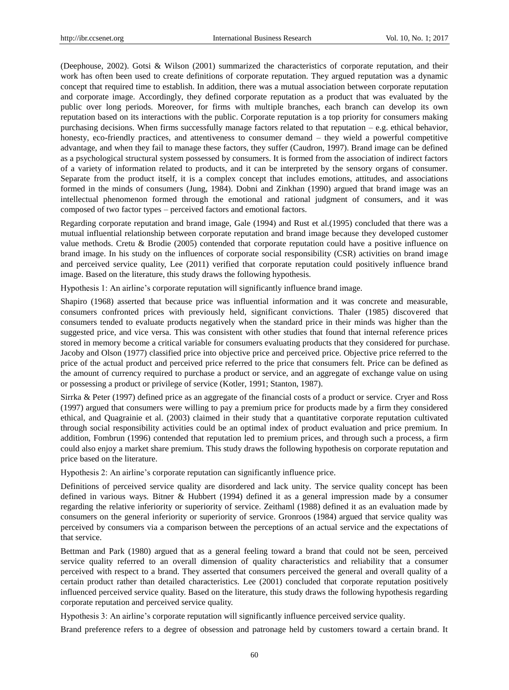(Deephouse, 2002). Gotsi & Wilson (2001) summarized the characteristics of corporate reputation, and their work has often been used to create definitions of corporate reputation. They argued reputation was a dynamic concept that required time to establish. In addition, there was a mutual association between corporate reputation and corporate image. Accordingly, they defined corporate reputation as a product that was evaluated by the public over long periods. Moreover, for firms with multiple branches, each branch can develop its own reputation based on its interactions with the public. Corporate reputation is a top priority for consumers making purchasing decisions. When firms successfully manage factors related to that reputation  $-e.g.$  ethical behavior, honesty, eco-friendly practices, and attentiveness to consumer demand – they wield a powerful competitive advantage, and when they fail to manage these factors, they suffer (Caudron, 1997). Brand image can be defined as a psychological structural system possessed by consumers. It is formed from the association of indirect factors of a variety of information related to products, and it can be interpreted by the sensory organs of consumer. Separate from the product itself, it is a complex concept that includes emotions, attitudes, and associations formed in the minds of consumers (Jung, 1984). Dobni and Zinkhan (1990) argued that brand image was an intellectual phenomenon formed through the emotional and rational judgment of consumers, and it was composed of two factor types – perceived factors and emotional factors.

Regarding corporate reputation and brand image, Gale (1994) and Rust et al.(1995) concluded that there was a mutual influential relationship between corporate reputation and brand image because they developed customer value methods. Cretu & Brodie (2005) contended that corporate reputation could have a positive influence on brand image. In his study on the influences of corporate social responsibility (CSR) activities on brand image and perceived service quality, Lee (2011) verified that corporate reputation could positively influence brand image. Based on the literature, this study draws the following hypothesis.

Hypothesis 1: An airline's corporate reputation will significantly influence brand image.

Shapiro (1968) asserted that because price was influential information and it was concrete and measurable, consumers confronted prices with previously held, significant convictions. Thaler (1985) discovered that consumers tended to evaluate products negatively when the standard price in their minds was higher than the suggested price, and vice versa. This was consistent with other studies that found that internal reference prices stored in memory become a critical variable for consumers evaluating products that they considered for purchase. Jacoby and Olson (1977) classified price into objective price and perceived price. Objective price referred to the price of the actual product and perceived price referred to the price that consumers felt. Price can be defined as the amount of currency required to purchase a product or service, and an aggregate of exchange value on using or possessing a product or privilege of service (Kotler, 1991; Stanton, 1987).

Sirrka & Peter (1997) defined price as an aggregate of the financial costs of a product or service. Cryer and Ross (1997) argued that consumers were willing to pay a premium price for products made by a firm they considered ethical, and Quagrainie et al. (2003) claimed in their study that a quantitative corporate reputation cultivated through social responsibility activities could be an optimal index of product evaluation and price premium. In addition, Fombrun (1996) contended that reputation led to premium prices, and through such a process, a firm could also enjoy a market share premium. This study draws the following hypothesis on corporate reputation and price based on the literature.

Hypothesis 2: An airline's corporate reputation can significantly influence price.

Definitions of perceived service quality are disordered and lack unity. The service quality concept has been defined in various ways. Bitner & Hubbert (1994) defined it as a general impression made by a consumer regarding the relative inferiority or superiority of service. Zeithaml (1988) defined it as an evaluation made by consumers on the general inferiority or superiority of service. Gronroos (1984) argued that service quality was perceived by consumers via a comparison between the perceptions of an actual service and the expectations of that service.

Bettman and Park (1980) argued that as a general feeling toward a brand that could not be seen, perceived service quality referred to an overall dimension of quality characteristics and reliability that a consumer perceived with respect to a brand. They asserted that consumers perceived the general and overall quality of a certain product rather than detailed characteristics. Lee (2001) concluded that corporate reputation positively influenced perceived service quality. Based on the literature, this study draws the following hypothesis regarding corporate reputation and perceived service quality.

Hypothesis 3: An airline's corporate reputation will significantly influence perceived service quality.

Brand preference refers to a degree of obsession and patronage held by customers toward a certain brand. It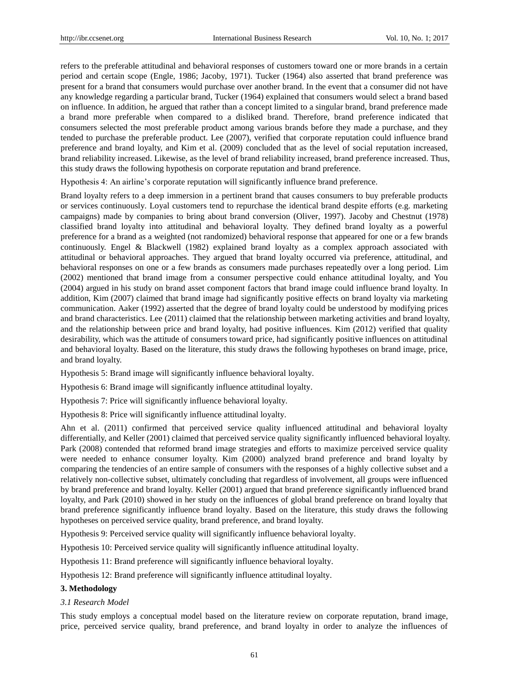refers to the preferable attitudinal and behavioral responses of customers toward one or more brands in a certain period and certain scope (Engle, 1986; Jacoby, 1971). Tucker (1964) also asserted that brand preference was present for a brand that consumers would purchase over another brand. In the event that a consumer did not have any knowledge regarding a particular brand, Tucker (1964) explained that consumers would select a brand based on influence. In addition, he argued that rather than a concept limited to a singular brand, brand preference made a brand more preferable when compared to a disliked brand. Therefore, brand preference indicated that consumers selected the most preferable product among various brands before they made a purchase, and they tended to purchase the preferable product. Lee (2007), verified that corporate reputation could influence brand preference and brand loyalty, and Kim et al. (2009) concluded that as the level of social reputation increased, brand reliability increased. Likewise, as the level of brand reliability increased, brand preference increased. Thus, this study draws the following hypothesis on corporate reputation and brand preference.

Hypothesis 4: An airline's corporate reputation will significantly influence brand preference.

Brand loyalty refers to a deep immersion in a pertinent brand that causes consumers to buy preferable products or services continuously. Loyal customers tend to repurchase the identical brand despite efforts (e.g. marketing campaigns) made by companies to bring about brand conversion (Oliver, 1997). Jacoby and Chestnut (1978) classified brand loyalty into attitudinal and behavioral loyalty. They defined brand loyalty as a powerful preference for a brand as a weighted (not randomized) behavioral response that appeared for one or a few brands continuously. Engel & Blackwell (1982) explained brand loyalty as a complex approach associated with attitudinal or behavioral approaches. They argued that brand loyalty occurred via preference, attitudinal, and behavioral responses on one or a few brands as consumers made purchases repeatedly over a long period. Lim (2002) mentioned that brand image from a consumer perspective could enhance attitudinal loyalty, and You (2004) argued in his study on brand asset component factors that brand image could influence brand loyalty. In addition, Kim (2007) claimed that brand image had significantly positive effects on brand loyalty via marketing communication. Aaker (1992) asserted that the degree of brand loyalty could be understood by modifying prices and brand characteristics. Lee (2011) claimed that the relationship between marketing activities and brand loyalty, and the relationship between price and brand loyalty, had positive influences. Kim (2012) verified that quality desirability, which was the attitude of consumers toward price, had significantly positive influences on attitudinal and behavioral loyalty. Based on the literature, this study draws the following hypotheses on brand image, price, and brand loyalty.

Hypothesis 5: Brand image will significantly influence behavioral loyalty.

Hypothesis 6: Brand image will significantly influence attitudinal loyalty.

Hypothesis 7: Price will significantly influence behavioral loyalty.

Hypothesis 8: Price will significantly influence attitudinal loyalty.

Ahn et al. (2011) confirmed that perceived service quality influenced attitudinal and behavioral loyalty differentially, and Keller (2001) claimed that perceived service quality significantly influenced behavioral loyalty. Park (2008) contended that reformed brand image strategies and efforts to maximize perceived service quality were needed to enhance consumer loyalty. Kim (2000) analyzed brand preference and brand loyalty by comparing the tendencies of an entire sample of consumers with the responses of a highly collective subset and a relatively non-collective subset, ultimately concluding that regardless of involvement, all groups were influenced by brand preference and brand loyalty. Keller (2001) argued that brand preference significantly influenced brand loyalty, and Park (2010) showed in her study on the influences of global brand preference on brand loyalty that brand preference significantly influence brand loyalty. Based on the literature, this study draws the following hypotheses on perceived service quality, brand preference, and brand loyalty.

Hypothesis 9: Perceived service quality will significantly influence behavioral loyalty.

Hypothesis 10: Perceived service quality will significantly influence attitudinal loyalty.

Hypothesis 11: Brand preference will significantly influence behavioral loyalty.

Hypothesis 12: Brand preference will significantly influence attitudinal loyalty.

#### **3. Methodology**

#### *3.1 Research Model*

This study employs a conceptual model based on the literature review on corporate reputation, brand image, price, perceived service quality, brand preference, and brand loyalty in order to analyze the influences of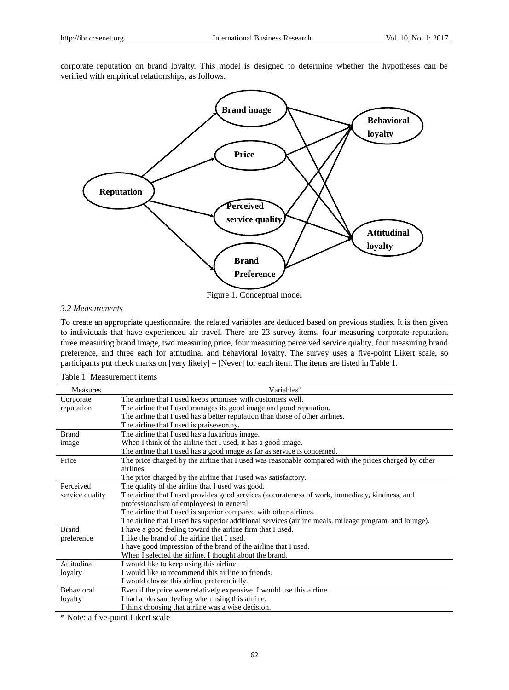corporate reputation on brand loyalty. This model is designed to determine whether the hypotheses can be verified with empirical relationships, as follows.



#### *3.2 Measurements*

To create an appropriate questionnaire, the related variables are deduced based on previous studies. It is then given to individuals that have experienced air travel. There are 23 survey items, four measuring corporate reputation, three measuring brand image, two measuring price, four measuring perceived service quality, four measuring brand preference, and three each for attitudinal and behavioral loyalty. The survey uses a five-point Likert scale, so participants put check marks on [very likely] – [Never] for each item. The items are listed in Table 1.

|  |  | Table 1. Measurement items |  |
|--|--|----------------------------|--|
|--|--|----------------------------|--|

| <b>Measures</b>   | Variables <sup>a</sup>                                                                                 |
|-------------------|--------------------------------------------------------------------------------------------------------|
| Corporate         | The airline that I used keeps promises with customers well.                                            |
| reputation        | The airline that I used manages its good image and good reputation.                                    |
|                   | The airline that I used has a better reputation than those of other airlines.                          |
|                   | The airline that I used is praiseworthy.                                                               |
| <b>Brand</b>      | The airline that I used has a luxurious image.                                                         |
| image             | When I think of the airline that I used, it has a good image.                                          |
|                   | The airline that I used has a good image as far as service is concerned.                               |
| Price             | The price charged by the airline that I used was reasonable compared with the prices charged by other  |
|                   | airlines.                                                                                              |
|                   | The price charged by the airline that I used was satisfactory.                                         |
| Perceived         | The quality of the airline that I used was good.                                                       |
| service quality   | The airline that I used provides good services (accurateness of work, immediacy, kindness, and         |
|                   | professionalism of employees) in general.                                                              |
|                   | The airline that I used is superior compared with other airlines.                                      |
|                   | The airline that I used has superior additional services (airline meals, mileage program, and lounge). |
| <b>Brand</b>      | I have a good feeling toward the airline firm that I used.                                             |
| preference        | I like the brand of the airline that I used.                                                           |
|                   | I have good impression of the brand of the airline that I used.                                        |
|                   | When I selected the airline, I thought about the brand.                                                |
| Attitudinal       | I would like to keep using this airline.                                                               |
| loyalty           | I would like to recommend this airline to friends.                                                     |
|                   | I would choose this airline preferentially.                                                            |
| <b>Behavioral</b> | Even if the price were relatively expensive, I would use this airline.                                 |
| loyalty           | I had a pleasant feeling when using this airline.                                                      |
|                   | I think choosing that airline was a wise decision.                                                     |

\* Note: a five-point Likert scale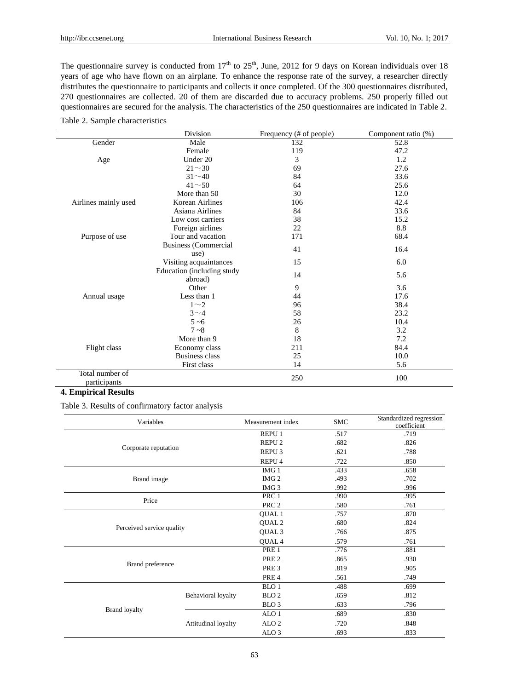The questionnaire survey is conducted from  $17<sup>th</sup>$  to  $25<sup>th</sup>$ , June, 2012 for 9 days on Korean individuals over 18 years of age who have flown on an airplane. To enhance the response rate of the survey, a researcher directly distributes the questionnaire to participants and collects it once completed. Of the 300 questionnaires distributed, 270 questionnaires are collected. 20 of them are discarded due to accuracy problems. 250 properly filled out questionnaires are secured for the analysis. The characteristics of the 250 questionnaires are indicated in Table 2. Table 2. Sample characteristics

|                                 | Division                   | Frequency (# of people) | Component ratio (%) |
|---------------------------------|----------------------------|-------------------------|---------------------|
| Gender                          | Male                       | 132                     | 52.8                |
|                                 | Female                     | 119                     | 47.2                |
| Age                             | Under 20                   | 3                       | 1.2                 |
|                                 | $21 - 30$                  | 69                      | 27.6                |
|                                 | $31 - 40$                  | 84                      | 33.6                |
|                                 | $41 - 50$                  | 64                      | 25.6                |
|                                 | More than 50               | 30                      | 12.0                |
| Airlines mainly used            | Korean Airlines            | 106                     | 42.4                |
|                                 | Asiana Airlines            | 84                      | 33.6                |
|                                 | Low cost carriers          | 38                      | 15.2                |
|                                 | Foreign airlines           | 22                      | 8.8                 |
| Purpose of use                  | Tour and vacation          | 171                     | 68.4                |
|                                 | Business (Commercial       | 41                      | 16.4                |
|                                 | use)                       |                         |                     |
|                                 | Visiting acquaintances     | 15                      | 6.0                 |
|                                 | Education (including study | 14                      | 5.6                 |
|                                 | abroad)                    |                         |                     |
|                                 | Other                      | 9                       | 3.6                 |
| Annual usage                    | Less than 1                | 44                      | 17.6                |
|                                 | $1\sim2$                   | 96                      | 38.4                |
|                                 | $3^{\sim}4$                | 58                      | 23.2                |
|                                 | $5 - 6$                    | 26                      | 10.4                |
|                                 | $7 - 8$                    | 8                       | 3.2                 |
|                                 | More than 9                | 18                      | 7.2                 |
| Flight class                    | Economy class              | 211                     | 84.4                |
|                                 | <b>Business class</b>      | 25                      | 10.0                |
|                                 | First class                | 14                      | 5.6                 |
| Total number of<br>participants |                            | 250                     | 100                 |

## **4. Empirical Results**

Table 3. Results of confirmatory factor analysis

| Variables                 |                     | Measurement index | <b>SMC</b>                                                                                                                                           | Standardized regression<br>coefficient |
|---------------------------|---------------------|-------------------|------------------------------------------------------------------------------------------------------------------------------------------------------|----------------------------------------|
|                           |                     | REPU <sub>1</sub> | .517                                                                                                                                                 | .719                                   |
|                           |                     | REPU <sub>2</sub> | .682                                                                                                                                                 | .826                                   |
| Corporate reputation      |                     | REPU <sub>3</sub> | .621                                                                                                                                                 | .788                                   |
|                           |                     | REPU <sub>4</sub> | .722<br>.433<br>.493<br>.992<br>.990<br>.580<br>.757<br>.680<br>.766<br>.579<br>.776<br>.865<br>.819<br>.561<br>.488<br>.659<br>.633<br>.689<br>.720 | .850                                   |
|                           |                     | IMG $1$           |                                                                                                                                                      | .658                                   |
| Brand image               |                     | IMG <sub>2</sub>  |                                                                                                                                                      | .702                                   |
|                           |                     | IMG <sub>3</sub>  |                                                                                                                                                      | .996                                   |
|                           |                     | PRC 1             |                                                                                                                                                      | .995                                   |
|                           | Price               |                   |                                                                                                                                                      | .761                                   |
|                           | QUAL 1              |                   |                                                                                                                                                      | .870                                   |
|                           |                     | QUAL <sub>2</sub> |                                                                                                                                                      | .824                                   |
| Perceived service quality |                     | QUAL <sub>3</sub> |                                                                                                                                                      | .875                                   |
|                           |                     | QUAL 4            | .761<br>.881<br>.930<br>.905<br>.749<br>.699<br>.812<br>.796<br>.830<br>.848                                                                         |                                        |
|                           |                     | PRE 1             |                                                                                                                                                      |                                        |
| Brand preference          |                     | PRE <sub>2</sub>  |                                                                                                                                                      |                                        |
|                           |                     | PRE <sub>3</sub>  |                                                                                                                                                      |                                        |
|                           |                     | PRE <sub>4</sub>  |                                                                                                                                                      |                                        |
|                           |                     | BLO <sub>1</sub>  |                                                                                                                                                      |                                        |
| <b>Brand loyalty</b>      | Behavioral loyalty  | BLO <sub>2</sub>  |                                                                                                                                                      |                                        |
|                           |                     | BLO <sub>3</sub>  |                                                                                                                                                      |                                        |
|                           |                     | ALO <sub>1</sub>  |                                                                                                                                                      |                                        |
|                           | Attitudinal loyalty | ALO <sub>2</sub>  |                                                                                                                                                      |                                        |
|                           |                     | ALO <sub>3</sub>  | .693                                                                                                                                                 | .833                                   |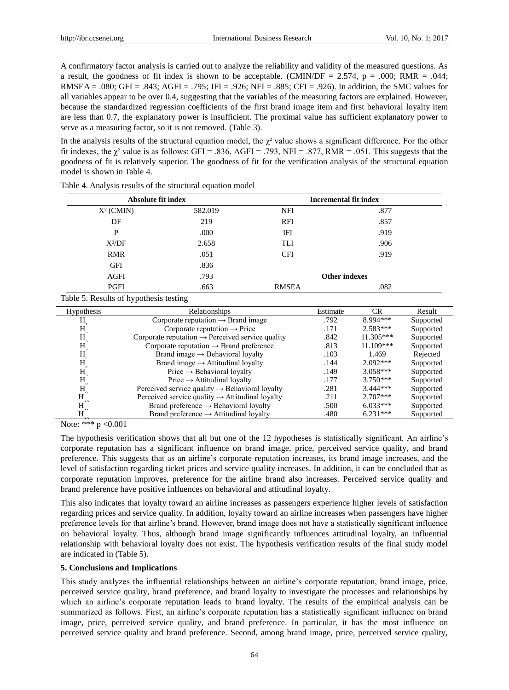A confirmatory factor analysis is carried out to analyze the reliability and validity of the measured questions. As a result, the goodness of fit index is shown to be acceptable. (CMIN/DF = 2.574, p = .000; RMR = .044; RMSEA = .080; GFI = .843; AGFI = .795; IFI = .926; NFI = .885; CFI = .926). In addition, the SMC values for all variables appear to be over 0.4, suggesting that the variables of the measuring factors are explained. However, because the standardized regression coefficients of the first brand image item and first behavioral loyalty item are less than 0.7, the explanatory power is insufficient. The proximal value has sufficient explanatory power to serve as a measuring factor, so it is not removed. (Table 3).

In the analysis results of the structural equation model, the  $\chi^2$  value shows a significant difference. For the other fit indexes, the  $\chi^2$  value is as follows: GFI = .836, AGFI = .793, NFI = .877, RMR = .051. This suggests that the goodness of fit is relatively superior. The goodness of fit for the verification analysis of the structural equation model is shown in Table 4.

| <b>Absolute fit index</b> |         | <b>Incremental fit index</b> |      |  |
|---------------------------|---------|------------------------------|------|--|
| $X^2$ (CMIN)              | 582.019 | <b>NFI</b>                   | .877 |  |
| DF                        | 219     | <b>RFI</b>                   | .857 |  |
| P                         | .000    | IFI                          | .919 |  |
| X <sub>2</sub> DF         | 2.658   | TLI                          | .906 |  |
| <b>RMR</b>                | .051    | <b>CFI</b>                   | .919 |  |
| <b>GFI</b>                | .836    |                              |      |  |
| AGFI                      | .793    | Other indexes                |      |  |
| PGFI                      | .663    | <b>RMSEA</b>                 | .082 |  |

Table 4. Analysis results of the structural equation model

Table 5. Results of hypothesis testing

| Hypothesis        | <b>Relationships</b>                                         | Estimate | CR          | Result    |
|-------------------|--------------------------------------------------------------|----------|-------------|-----------|
| Η                 | Corporate reputation $\rightarrow$ Brand image               | .792     | 8.994***    | Supported |
| $H_{\alpha}$      | Corporate reputation $\rightarrow$ Price                     | .171     | $2.583***$  | Supported |
| H <sub>a</sub>    | Corporate reputation $\rightarrow$ Perceived service quality | .842     | $11.305***$ | Supported |
| Η                 | Corporate reputation $\rightarrow$ Brand preference          | .813     | $11.109***$ | Supported |
| $H_{\varepsilon}$ | Brand image $\rightarrow$ Behavioral loyalty                 | .103     | 1.469       | Rejected  |
| $H_{\rm g}$       | Brand image $\rightarrow$ Attitudinal loyalty                | .144     | $2.092***$  | Supported |
| Η                 | Price $\rightarrow$ Behavioral loyalty                       | .149     | $3.058***$  | Supported |
| H <sub>o</sub>    | $Price \rightarrow Atitudinal$ loyalty                       | .177     | $3.750***$  | Supported |
| $H^\circ$         | Perceived service quality $\rightarrow$ Behavioral loyalty   | .281     | $3.444***$  | Supported |
| $H_{\ldots}$      | Perceived service quality $\rightarrow$ Attitudinal loyalty  | .211     | $2.707***$  | Supported |
| Η<br>11           | Brand preference $\rightarrow$ Behavioral loyalty            | .500     | $6.033***$  | Supported |
| Н                 | Brand preference $\rightarrow$ Attitudinal lovalty           | .480     | $6.231***$  | Supported |

Note: \*\*\*  $p < 0.001$ 

The hypothesis verification shows that all but one of the 12 hypotheses is statistically significant. An airline's corporate reputation has a significant influence on brand image, price, perceived service quality, and brand preference. This suggests that as an airline's corporate reputation increases, its brand image increases, and the level of satisfaction regarding ticket prices and service quality increases. In addition, it can be concluded that as corporate reputation improves, preference for the airline brand also increases. Perceived service quality and brand preference have positive influences on behavioral and attitudinal loyalty.

This also indicates that loyalty toward an airline increases as passengers experience higher levels of satisfaction regarding prices and service quality. In addition, loyalty toward an airline increases when passengers have higher preference levels for that airline's brand. However, brand image does not have a statistically significant influence on behavioral loyalty. Thus, although brand image significantly influences attitudinal loyalty, an influential relationship with behavioral loyalty does not exist. The hypothesis verification results of the final study model are indicated in (Table 5).

#### **5. Conclusions and Implications**

This study analyzes the influential relationships between an airline's corporate reputation, brand image, price, perceived service quality, brand preference, and brand loyalty to investigate the processes and relationships by which an airline's corporate reputation leads to brand loyalty. The results of the empirical analysis can be summarized as follows. First, an airline's corporate reputation has a statistically significant influence on brand image, price, perceived service quality, and brand preference. In particular, it has the most influence on perceived service quality and brand preference. Second, among brand image, price, perceived service quality,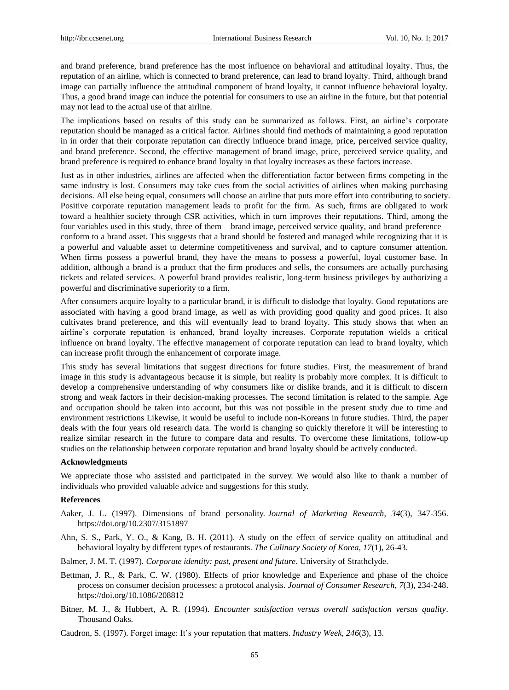and brand preference, brand preference has the most influence on behavioral and attitudinal loyalty. Thus, the reputation of an airline, which is connected to brand preference, can lead to brand loyalty. Third, although brand image can partially influence the attitudinal component of brand loyalty, it cannot influence behavioral loyalty. Thus, a good brand image can induce the potential for consumers to use an airline in the future, but that potential may not lead to the actual use of that airline.

The implications based on results of this study can be summarized as follows. First, an airline's corporate reputation should be managed as a critical factor. Airlines should find methods of maintaining a good reputation in in order that their corporate reputation can directly influence brand image, price, perceived service quality, and brand preference. Second, the effective management of brand image, price, perceived service quality, and brand preference is required to enhance brand loyalty in that loyalty increases as these factors increase.

Just as in other industries, airlines are affected when the differentiation factor between firms competing in the same industry is lost. Consumers may take cues from the social activities of airlines when making purchasing decisions. All else being equal, consumers will choose an airline that puts more effort into contributing to society. Positive corporate reputation management leads to profit for the firm. As such, firms are obligated to work toward a healthier society through CSR activities, which in turn improves their reputations. Third, among the four variables used in this study, three of them – brand image, perceived service quality, and brand preference – conform to a brand asset. This suggests that a brand should be fostered and managed while recognizing that it is a powerful and valuable asset to determine competitiveness and survival, and to capture consumer attention. When firms possess a powerful brand, they have the means to possess a powerful, loyal customer base. In addition, although a brand is a product that the firm produces and sells, the consumers are actually purchasing tickets and related services. A powerful brand provides realistic, long-term business privileges by authorizing a powerful and discriminative superiority to a firm.

After consumers acquire loyalty to a particular brand, it is difficult to dislodge that loyalty. Good reputations are associated with having a good brand image, as well as with providing good quality and good prices. It also cultivates brand preference, and this will eventually lead to brand loyalty. This study shows that when an airline's corporate reputation is enhanced, brand loyalty increases. Corporate reputation wields a critical influence on brand loyalty. The effective management of corporate reputation can lead to brand loyalty, which can increase profit through the enhancement of corporate image.

This study has several limitations that suggest directions for future studies. First, the measurement of brand image in this study is advantageous because it is simple, but reality is probably more complex. It is difficult to develop a comprehensive understanding of why consumers like or dislike brands, and it is difficult to discern strong and weak factors in their decision-making processes. The second limitation is related to the sample. Age and occupation should be taken into account, but this was not possible in the present study due to time and environment restrictions Likewise, it would be useful to include non-Koreans in future studies. Third, the paper deals with the four years old research data. The world is changing so quickly therefore it will be interesting to realize similar research in the future to compare data and results. To overcome these limitations, follow-up studies on the relationship between corporate reputation and brand loyalty should be actively conducted.

#### **Acknowledgments**

We appreciate those who assisted and participated in the survey. We would also like to thank a number of individuals who provided valuable advice and suggestions for this study.

#### **References**

- Aaker, J. L. (1997). Dimensions of brand personality. *Journal of Marketing Research*, *34*(3), 347-356. <https://doi.org/10.2307/3151897>
- Ahn, S. S., Park, Y. O., & Kang, B. H. (2011). A study on the effect of service quality on attitudinal and behavioral loyalty by different types of restaurants. *The Culinary Society of Korea*, *17*(1), 26-43.
- Balmer, J. M. T. (1997). *Corporate identity: past, present and future*. University of Strathclyde.
- Bettman, J. R., & Park, C. W. (1980). Effects of prior knowledge and Experience and phase of the choice process on consumer decision processes: a protocol analysis. *Journal of Consumer Research*, *7*(3), 234-248. <https://doi.org/10.1086/208812>
- Bitner, M. J., & Hubbert, A. R. (1994). *Encounter satisfaction versus overall satisfaction versus quality*. Thousand Oaks.
- Caudron, S. (1997). Forget image: It's your reputation that matters. *Industry Week*, *246*(3), 13.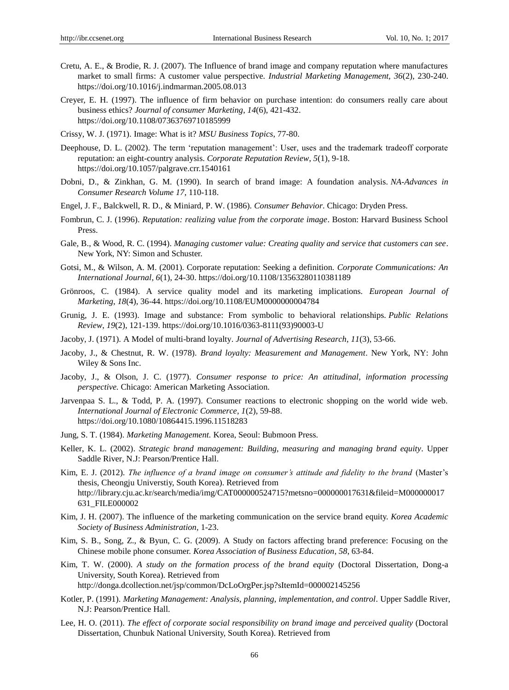- Cretu, A. E., & Brodie, R. J. (2007). The Influence of brand image and company reputation where manufactures market to small firms: A customer value perspective. *Industrial Marketing Management, 36*(2), 230-240. <https://doi.org/10.1016/j.indmarman.2005.08.013>
- Creyer, E. H. (1997). The influence of firm behavior on purchase intention: do consumers really care about business ethics? *Journal of consumer Marketing*, *14*(6), 421-432. <https://doi.org/10.1108/07363769710185999>
- Crissy, W. J. (1971). Image: What is it? *MSU Business Topics*, 77-80.
- Deephouse, D. L. (2002). The term 'reputation management': User, uses and the trademark tradeoff corporate reputation: an eight-country analysis. *Corporate Reputation Review*, *5*(1), 9-18. <https://doi.org/10.1057/palgrave.crr.1540161>
- Dobni, D., & Zinkhan, G. M. (1990). In search of brand image: A foundation analysis. *NA-Advances in Consumer Research Volume 17*, 110-118.
- Engel, J. F., Balckwell, R. D., & Miniard, P. W. (1986). *Consumer Behavior*. Chicago: Dryden Press.
- Fombrun, C. J. (1996). *Reputation: realizing value from the corporate image*. Boston: Harvard Business School Press.
- Gale, B., & Wood, R. C. (1994). *Managing customer value: Creating quality and service that customers can see*. New York, NY: Simon and Schuster.
- Gotsi, M., & Wilson, A. M. (2001). Corporate reputation: Seeking a definition. *Corporate Communications: An International Journal*, *6*(1), 24-30. <https://doi.org/10.1108/13563280110381189>
- Grönroos, C. (1984). A service quality model and its marketing implications. *European Journal of Marketing*, *18*(4), 36-44. <https://doi.org/10.1108/EUM0000000004784>
- Grunig, J. E. (1993). Image and substance: From symbolic to behavioral relationships. *Public Relations Review*, *19*(2), 121-139. [https://doi.org/10.1016/0363-8111\(93\)90003-U](https://doi.org/10.1016/0363-8111(93)90003-U)
- Jacoby, J. (1971). A Model of multi-brand loyalty. *Journal of Advertising Research*, *11*(3), 53-66.
- Jacoby, J., & Chestnut, R. W. (1978). *Brand loyalty: Measurement and Management*. New York, NY: John Wiley & Sons Inc.
- Jacoby, J., & Olson, J. C. (1977). *Consumer response to price: An attitudinal, information processing perspective.* Chicago: American Marketing Association.
- Jarvenpaa S. L., & Todd, P. A. (1997). Consumer reactions to electronic shopping on the world wide web. *International Journal of Electronic Commerce, 1*(2), 59-88. <https://doi.org/10.1080/10864415.1996.11518283>
- Jung, S. T. (1984). *Marketing Management.* Korea, Seoul: Bubmoon Press.
- Keller, K. L. (2002). *Strategic brand management: Building, measuring and managing brand equity*. Upper Saddle River, N.J: Pearson/Prentice Hall.
- Kim, E. J. (2012). *The influence of a brand image on consumer's attitude and fidelity to the brand* (Master's thesis, Cheongju Universtiy, South Korea). Retrieved from [http://library.cju.ac.kr/search/media/img/CAT000000524715?metsno=000000017631&fileid=M000000017](http://library.cju.ac.kr/search/media/img/CAT000000524715?metsno=000000017631&fileid=M000000017631_FILE000002) [631\\_FILE000002](http://library.cju.ac.kr/search/media/img/CAT000000524715?metsno=000000017631&fileid=M000000017631_FILE000002)
- Kim, J. H. (2007). The influence of the marketing communication on the service brand equity. *Korea Academic Society of Business Administration*, 1-23.
- Kim, S. B., Song, Z., & Byun, C. G. (2009). A Study on factors affecting brand preference: Focusing on the Chinese mobile phone consumer. *Korea Association of Business Education*, *58*, 63-84.
- Kim, T. W. (2000). *A study on the formation process of the brand equity* (Doctoral Dissertation, Dong-a University, South Korea). Retrieved from <http://donga.dcollection.net/jsp/common/DcLoOrgPer.jsp?sItemId=000002145256>
- Kotler, P. (1991). *Marketing Management: Analysis, planning, implementation, and control*. Upper Saddle River, N.J: Pearson/Prentice Hall.
- Lee, H. O. (2011). *The effect of corporate social responsibility on brand image and perceived quality* (Doctoral Dissertation, Chunbuk National University, South Korea). Retrieved from